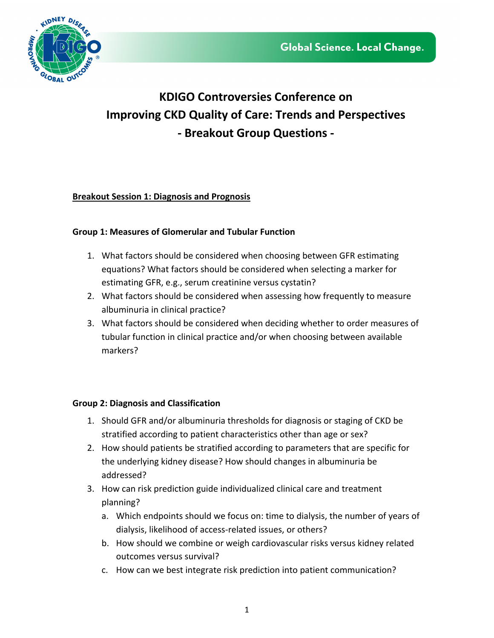

# **KDIGO Controversies Conference on Improving CKD Quality of Care: Trends and Perspectives - Breakout Group Questions -**

## **Breakout Session 1: Diagnosis and Prognosis**

## **Group 1: Measures of Glomerular and Tubular Function**

- 1. What factors should be considered when choosing between GFR estimating equations? What factors should be considered when selecting a marker for estimating GFR, e.g., serum creatinine versus cystatin?
- 2. What factors should be considered when assessing how frequently to measure albuminuria in clinical practice?
- 3. What factors should be considered when deciding whether to order measures of tubular function in clinical practice and/or when choosing between available markers?

## **Group 2: Diagnosis and Classification**

- 1. Should GFR and/or albuminuria thresholds for diagnosis or staging of CKD be stratified according to patient characteristics other than age or sex?
- 2. How should patients be stratified according to parameters that are specific for the underlying kidney disease? How should changes in albuminuria be addressed?
- 3. How can risk prediction guide individualized clinical care and treatment planning?
	- a. Which endpoints should we focus on: time to dialysis, the number of years of dialysis, likelihood of access-related issues, or others?
	- b. How should we combine or weigh cardiovascular risks versus kidney related outcomes versus survival?
	- c. How can we best integrate risk prediction into patient communication?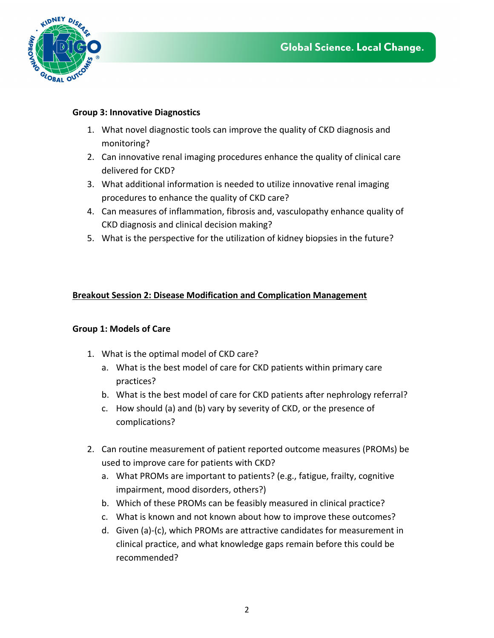

### **Group 3: Innovative Diagnostics**

- 1. What novel diagnostic tools can improve the quality of CKD diagnosis and monitoring?
- 2. Can innovative renal imaging procedures enhance the quality of clinical care delivered for CKD?
- 3. What additional information is needed to utilize innovative renal imaging procedures to enhance the quality of CKD care?
- 4. Can measures of inflammation, fibrosis and, vasculopathy enhance quality of CKD diagnosis and clinical decision making?
- 5. What is the perspective for the utilization of kidney biopsies in the future?

## **Breakout Session 2: Disease Modification and Complication Management**

## **Group 1: Models of Care**

- 1. What is the optimal model of CKD care?
	- a. What is the best model of care for CKD patients within primary care practices?
	- b. What is the best model of care for CKD patients after nephrology referral?
	- c. How should (a) and (b) vary by severity of CKD, or the presence of complications?
- 2. Can routine measurement of patient reported outcome measures (PROMs) be used to improve care for patients with CKD?
	- a. What PROMs are important to patients? (e.g., fatigue, frailty, cognitive impairment, mood disorders, others?)
	- b. Which of these PROMs can be feasibly measured in clinical practice?
	- c. What is known and not known about how to improve these outcomes?
	- d. Given (a)-(c), which PROMs are attractive candidates for measurement in clinical practice, and what knowledge gaps remain before this could be recommended?